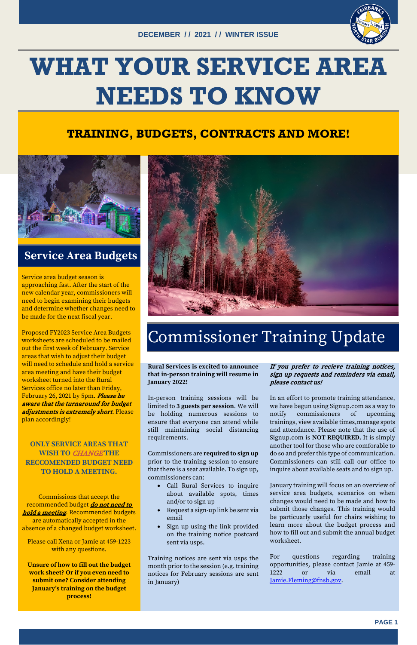

# **WHAT YOUR SERVICE AREA NEEDS TO KNOW**

## **TRAINING, BUDGETS, CONTRACTS AND MORE!**



## **Service Area Budgets**

Service area budget season is approaching fast. After the start of the new calendar year, commissioners will need to begin examining their budgets and determine whether changes need to be made for the next fiscal year.

Proposed FY2023 Service Area Budgets worksheets are scheduled to be mailed out the first week of February. Service areas that wish to adjust their budget will need to schedule and hold a service area meeting and have their budget worksheet turned into the Rural Services office no later than Friday, February 26, 2021 by 5pm. Please be aware that the turnaround for budget adjustments is extremely short. Please plan accordingly!

**ONLY SERVICE AREAS THAT WISH TO** CHANGE **THE RECCOMENDED BUDGET NEED TO HOLD A MEETING.** 



Commissions that accept the recommended budget *do not need to* hold a meeting. Recommended budgets are automatically accepted in the absence of a changed budget worksheet.

Please call Xena or Jamie at 459-1223 with any questions.

**Unsure of how to fill out the budget work sheet? Or if you even need to submit one? Consider attending January's training on the budget process!**

# Commissioner Training Update

**Rural Services is excited to announce that in-person training will resume in January 2022!**

In-person training sessions will be limited to **3 guests per session**. We will be holding numerous sessions to ensure that everyone can attend while still maintaining social distancing requirements.

Commissioners are **required to sign up** prior to the training session to ensure that there is a seat available. To sign up,

commissioners can:

- Call Rural Services to inquire about available spots, times and/or to sign up
- Request a sign-up link be sent via email
- Sign up using the link provided on the training notice postcard sent via usps.

Training notices are sent via usps the month prior to the session (e.g. training notices for February sessions are sent in January)

### If you prefer to recieve training notices, sign up requests and reminders via email, please contact us!

In an effort to promote training attendance, we have begun using Signup.com as a way to notify commissioners of upcoming trainings, view available times,manage spots and attendance. Please note that the use of Signup.com is **NOT REQUIRED.** It is simply another tool for those who are comforable to do so and prefer this type of communication. Commissioners can still call our office to inquire about available seats and to sign up.

January training will focus on an overview of service area budgets, scenarios on when changes would need to be made and how to submit those changes. This training would be particuarly useful for chairs wishing to learn more about the budget process and how to fill out and submit the annual budget worksheet.

For questions regarding training opportunities, please contact Jamie at 459- 1222 or via email at [Jamie.Fleming@fnsb.gov.](mailto:Jamie.Fleming@fnsb.gov)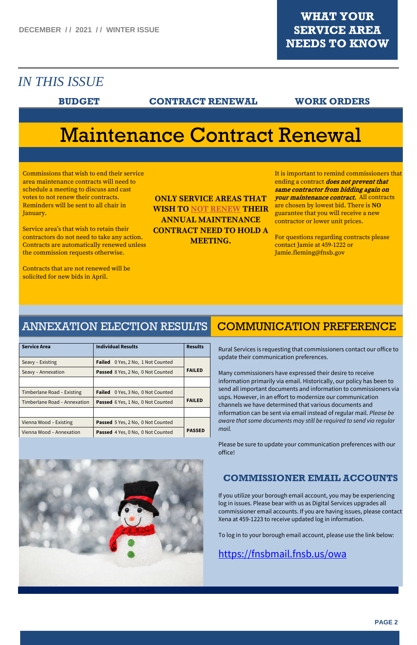

## *IN THIS ISSUE*

### **BUDGET CONTRACT RENEWAL WORK ORDERS**

# Maintenance Contract Renewal

Commissions that wish to end their service area maintenance contracts will need to schedule a meeting to discuss and cast votes to not renew their contracts. Reminders will be sent to all chair in January.

Service area's that wish to retain their contractors do not need to take any action. Contracts are automatically renewed unless the commission requests otherwise.

Contracts that are not renewed will be solicited for new bids in April.

**ONLY SERVICE AREAS THAT WISH TO NOT RENEW THEIR ANNUAL MAINTENANCE CONTRACT NEED TO HOLD A MEETING.**

It is important to remind commissioners that ending a contract *does not prevent that* same contractor from bidding again on your maintenance contract. All contracts are chosen by lowest bid. There is **NO** guarantee that you will receive a new contractor or lower unit prices.

For questions regarding contracts please contact Jamie at 459-1222 or Jamie.fleming@fnsb.gov

### ANNEXATION ELECTION RESULTS

| <b>Service Area</b>          | <b>Individual Results</b>                   | <b>Results</b> |
|------------------------------|---------------------------------------------|----------------|
| Seavy – Existing             | 0 Yes, 2 No, 1 Not Counted<br><b>Failed</b> |                |
| Seavy – Annexation           | <b>Passed</b> 8 Yes, 2 No, 0 Not Counted    | <b>FAILED</b>  |
|                              |                                             |                |
| Timberlane Road – Existing   | 0 Yes, 3 No, 0 Not Counted<br><b>Failed</b> |                |
| Timberlane Road - Annexation | <b>Passed</b> 6 Yes, 1 No, 0 Not Counted    | <b>FAILED</b>  |
|                              |                                             |                |
| Vienna Wood – Existing       | <b>Passed</b> 5 Yes, 2 No, 0 Not Counted    |                |
| Vienna Wood - Annexation     | Passed 4 Yes, 0 No, 0 Not Counted           | <b>PASSED</b>  |

## COMMUNICATION PREFERENCE

Rural Services is requesting that commissioners contact our office to update their communication preferences.

Many commissioners have expressed their desire to receive information primarily via email. Historically, our policy has been to send all important documents and information to commissioners via usps. However, in an effort to modernize our communication channels we have determined that various documents and information can be sent via email instead of regular mail. *Please be aware that some documents may still be required to send via regular mail.* 

Please be sure to update your communication preferences with our office!



### **COMMISSIONER EMAIL ACCOUNTS**

If you utilize your borough email account, you may be experiencing log in issues. Please bear with us as Digital Services upgrades all commissioner email accounts. If you are having issues, please contact Xena at 459-1223 to receive updated log in information.

To log in to your borough email account, please use the link below:

<https://fnsbmail.fnsb.us/owa>